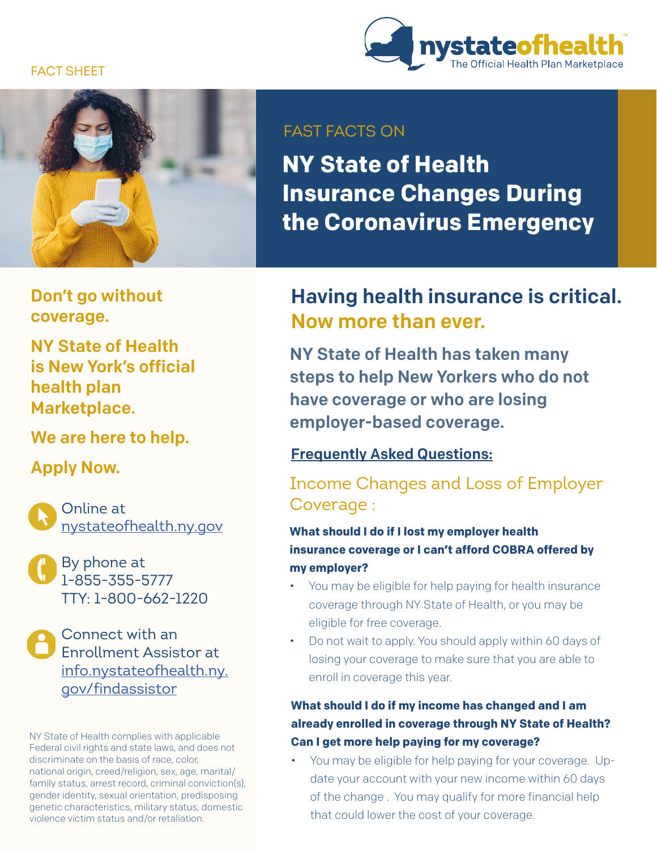## FACT SHEET





Don't go without coverage.

NY State of Health is New York's official health plan Marketplace.

We are here to help.

Apply Now.

Online at [nystateofhealth.ny.gov](https://nystateofhealth.ny.gov/)

By phone at 1-855-355-5777 TTY: 1-800-662-1220

Connect with an Enrollment Assistor at [info.nystateofhealth.ny.](https://nystateofhealth.ny.gov/agent/hx_brokerSearch) gov/findassistor

NY State of Health complies with applicable Federal civil rights and state laws, and does not discriminate on the basis of race, color, national origin, creed/religion, sex, age, marital/ family status, arrest record, criminal conviction(s), gender identity, sexual orientation, predisposing genetic characteristics, military status, domestic violence victim status and/or retaliation.

## FAST FACTS ON

**NY State of Health Insurance Changes During the Coronavirus Emergency**

## Having health insurance is critical. Now more than ever.

NY State of Health has taken many steps to help New Yorkers who do not have coverage or who are losing employer-based coverage.

## Frequently Asked Questions:

## Income Changes and Loss of Employer Coverage :

**What should I do if I lost my employer health insurance coverage or I can't afford COBRA offered by my employer?** 

- You may be eligible for help paying for health insurance coverage through NY State of Health, or you may be eligible for free coverage.
- Do not wait to apply. You should apply within 60 days of losing your coverage to make sure that you are able to enroll in coverage this year.

## **What should I do if my income has changed and I am already enrolled in coverage through NY State of Health? Can I get more help paying for my coverage?**

• You may be eligible for help paying for your coverage. Update your account with your new income within 60 days of the change . You may qualify for more financial help that could lower the cost of your coverage.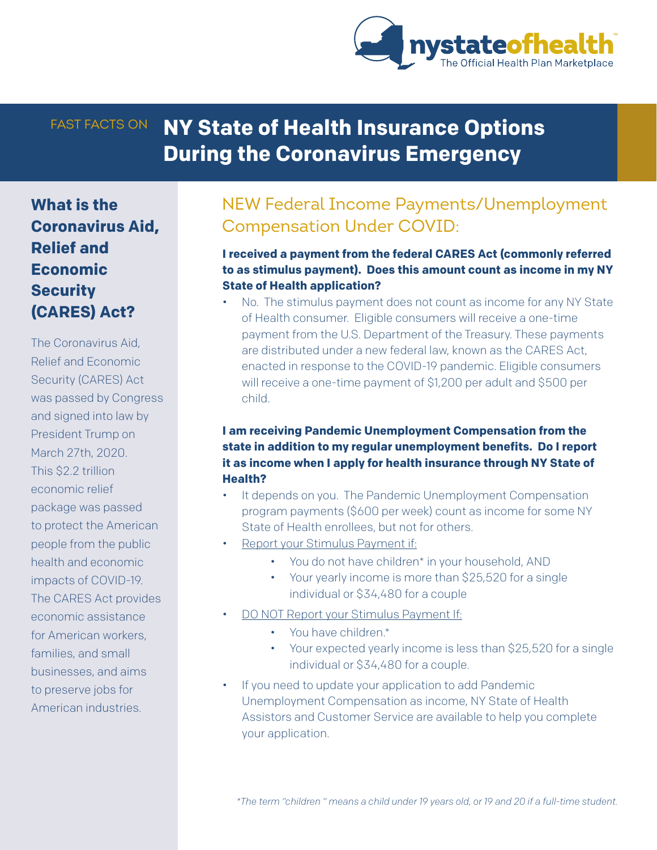

# FAST FACTS ON **NY State of Health Insurance Options During the Coronavirus Emergency**

**What is the Coronavirus Aid, Relief and Economic Security (CARES) Act?**

The Coronavirus Aid, Relief and Economic Security (CARES) Act was passed by Congress and signed into law by President Trump on March 27th, 2020. This \$2.2 trillion economic relief package was passed to protect the American people from the public health and economic impacts of COVID-19. The CARES Act provides economic assistance for American workers, families, and small businesses, and aims to preserve jobs for American industries.

## NEW Federal Income Payments/Unemployment Compensation Under COVID:

### **I received a payment from the federal CARES Act (commonly referred to as stimulus payment). Does this amount count as income in my NY State of Health application?**

• No. The stimulus payment does not count as income for any NY State of Health consumer. Eligible consumers will receive a one-time payment from the U.S. Department of the Treasury. These payments are distributed under a new federal law, known as the CARES Act, enacted in response to the COVID-19 pandemic. Eligible consumers will receive a one-time payment of \$1,200 per adult and \$500 per child.

## **I am receiving Pandemic Unemployment Compensation from the state in addition to my regular unemployment benefits. Do I report it as income when I apply for health insurance through NY State of Health?**

- It depends on you. The Pandemic Unemployment Compensation program payments (\$600 per week) count as income for some NY State of Health enrollees, but not for others.
- Report your Stimulus Payment if:
	- You do not have children\* in your household, AND
	- Your yearly income is more than \$25,520 for a single individual or \$34,480 for a couple
- DO NOT Report your Stimulus Payment If:
	- You have children.\*
	- Your expected yearly income is less than \$25,520 for a single individual or \$34,480 for a couple.
- If you need to update your application to add Pandemic Unemployment Compensation as income, NY State of Health Assistors and Customer Service are available to help you complete your application.